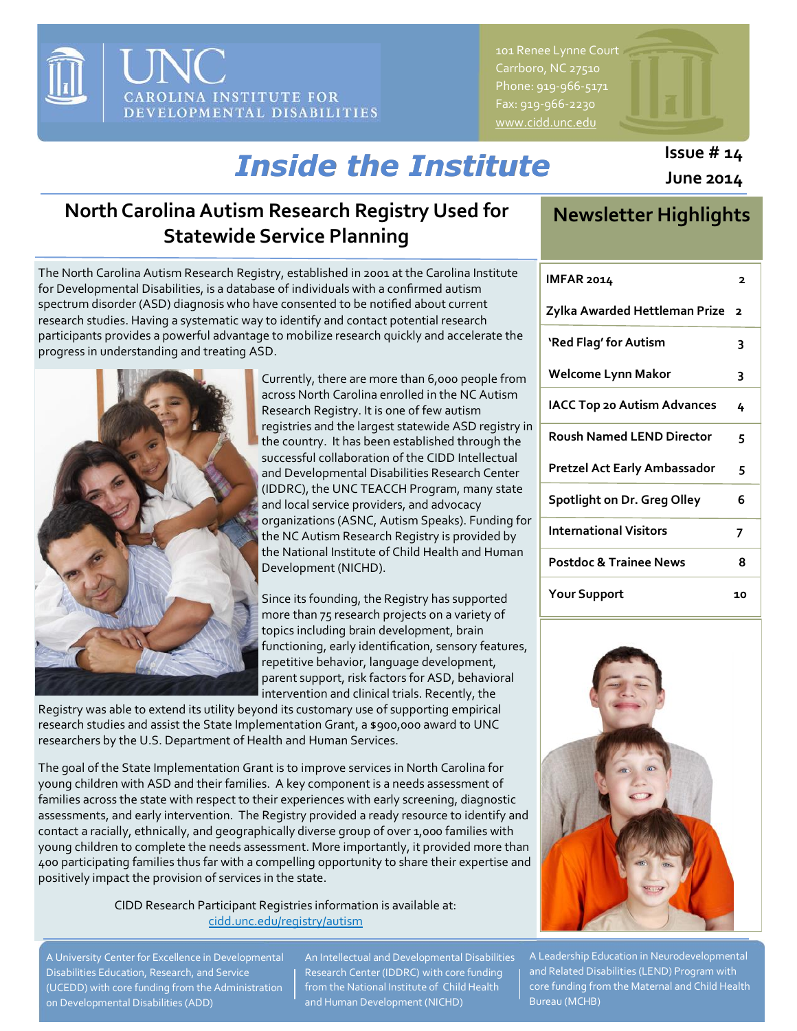

101 Renee Lynne Court Carrboro, NC 27510 Phone: 919-966-5171 Fax: 919-966-2230 [www.cidd.unc.edu](http://www.cidd.unc.edu/)

# *Inside the Institute*

# **North Carolina Autism Research Registry Used for Statewide Service Planning**

**Newsletter Highlights**

**Issue # 14 June 2014**

| The North Carolina Autism Research Registry, established in 2001 at the Carolina Institute |
|--------------------------------------------------------------------------------------------|
| for Developmental Disabilities, is a database of individuals with a confirmed autism       |
| spectrum disorder (ASD) diagnosis who have consented to be notified about current          |
| research studies. Having a systematic way to identify and contact potential research       |
| participants provides a powerful advantage to mobilize research quickly and accelerate the |
| progress in understanding and treating ASD.                                                |



Currently, there are more than 6,000 people from across North Carolina enrolled in the NC Autism Research Registry. It is one of few autism registries and the largest statewide ASD registry in the country. It has been established through the successful collaboration of the CIDD Intellectual and Developmental Disabilities Research Center (IDDRC), the UNC TEACCH Program, many state and local service providers, and advocacy organizations (ASNC, Autism Speaks). Funding for the NC Autism Research Registry is provided by the National Institute of Child Health and Human Development (NICHD).

Since its founding, the Registry has supported more than 75 research projects on a variety of topics including brain development, brain functioning, early identification, sensory features, repetitive behavior, language development, parent support, risk factors for ASD, behavioral intervention and clinical trials. Recently, the

Registry was able to extend its utility beyond its customary use of supporting empirical research studies and assist the State Implementation Grant, a \$900,000 award to UNC researchers by the U.S. Department of Health and Human Services.

The goal of the State Implementation Grant is to improve services in North Carolina for young children with ASD and their families. A key component is a needs assessment of families across the state with respect to their experiences with early screening, diagnostic assessments, and early intervention. The Registry provided a ready resource to identify and contact a racially, ethnically, and geographically diverse group of over 1,000 families with young children to complete the needs assessment. More importantly, it provided more than 400 participating families thus far with a compelling opportunity to share their expertise and positively impact the provision of services in the state.

> CIDD Research Participant Registries information is available at: [cidd.unc.edu/registry/autism](http://cidd.unc.edu/registry/autism/)

A University Center for Excellence in Developmental Disabilities Education, Research, and Service (UCEDD) with core funding from the Administration on Developmental Disabilities (ADD)

An Intellectual and Developmental Disabilities Research Center (IDDRC) with core funding from the National Institute of Child Health and Human Development (NICHD)

| IMFAR 2014                         | 2              |
|------------------------------------|----------------|
| Zylka Awarded Hettleman Prize      | $\overline{2}$ |
| 'Red Flag' for Autism              | 3              |
| Welcome Lynn Makor                 | 3              |
| <b>IACC Top 20 Autism Advances</b> | 4              |
| <b>Roush Named LEND Director</b>   | 5              |
| Pretzel Act Early Ambassador       | 5              |
| Spotlight on Dr. Greg Olley        | 6              |
| <b>International Visitors</b>      | 7              |
| <b>Postdoc &amp; Trainee News</b>  | 8              |
| <b>Your Support</b>                | 10             |



A Leadership Education in Neurodevelopmental and Related Disabilities (LEND) Program with core funding from the Maternal and Child Health Bureau (MCHB)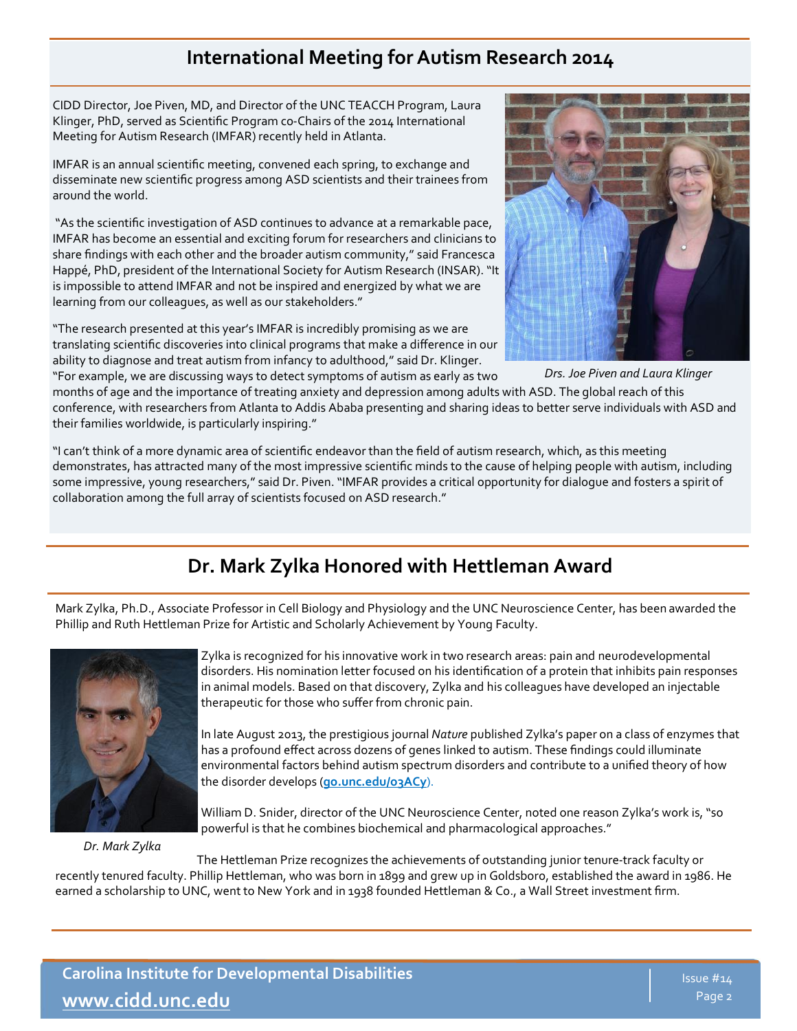# **International Meeting for Autism Research 2014**

CIDD Director, Joe Piven, MD, and Director of the UNC TEACCH Program, Laura Klinger, PhD, served as Scientific Program co-Chairs of the 2014 International Meeting for Autism Research (IMFAR) recently held in Atlanta.

IMFAR is an annual scientific meeting, convened each spring, to exchange and disseminate new scientific progress among ASD scientists and their trainees from around the world.

"As the scientific investigation of ASD continues to advance at a remarkable pace, IMFAR has become an essential and exciting forum for researchers and clinicians to share findings with each other and the broader autism community," said Francesca Happé, PhD, president of the International Society for Autism Research (INSAR). "It is impossible to attend IMFAR and not be inspired and energized by what we are learning from our colleagues, as well as our stakeholders."

"The research presented at this year's IMFAR is incredibly promising as we are translating scientific discoveries into clinical programs that make a difference in our ability to diagnose and treat autism from infancy to adulthood," said Dr. Klinger. "For example, we are discussing ways to detect symptoms of autism as early as two



*Drs. Joe Piven and Laura Klinger*

months of age and the importance of treating anxiety and depression among adults with ASD. The global reach of this conference, with researchers from Atlanta to Addis Ababa presenting and sharing ideas to better serve individuals with ASD and their families worldwide, is particularly inspiring."

"I can't think of a more dynamic area of scientific endeavor than the field of autism research, which, as this meeting demonstrates, has attracted many of the most impressive scientific minds to the cause of helping people with autism, including some impressive, young researchers," said Dr. Piven. "IMFAR provides a critical opportunity for dialogue and fosters a spirit of collaboration among the full array of scientists focused on ASD research."

# **Dr. Mark Zylka Honored with Hettleman Award**

Mark Zylka, Ph.D., Associate Professor in Cell Biology and Physiology and the UNC Neuroscience Center, has been awarded the Phillip and Ruth Hettleman Prize for Artistic and Scholarly Achievement by Young Faculty.



*Dr. Mark Zylka*

Zylka is recognized for his innovative work in two research areas: pain and neurodevelopmental disorders. His nomination letter focused on his identification of a protein that inhibits pain responses in animal models. Based on that discovery, Zylka and his colleagues have developed an injectable therapeutic for those who suffer from chronic pain.

In late August 2013, the prestigious journal *Nature* published Zylka's paper on a class of enzymes that has a profound effect across dozens of genes linked to autism. These findings could illuminate environmental factors behind autism spectrum disorders and contribute to a unified theory of how the disorder develops (**[go.unc.edu/o3ACy](http://go.unc.edu/o3ACy)**).

William D. Snider, director of the UNC Neuroscience Center, noted one reason Zylka's work is, "so powerful is that he combines biochemical and pharmacological approaches."

The Hettleman Prize recognizes the achievements of outstanding junior tenure-track faculty or recently tenured faculty. Phillip Hettleman, who was born in 1899 and grew up in Goldsboro, established the award in 1986. He earned a scholarship to UNC, went to New York and in 1938 founded Hettleman & Co., a Wall Street investment firm.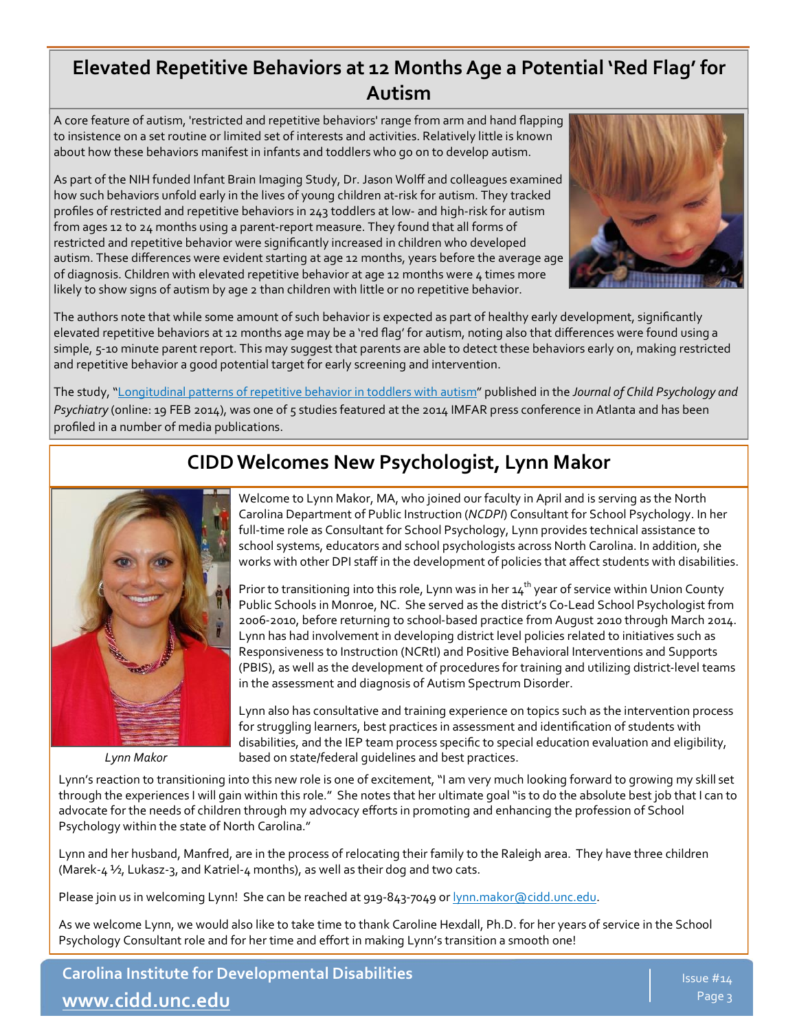## **Elevated Repetitive Behaviors at 12 Months Age a Potential 'Red Flag' for Autism**

A core feature of autism, 'restricted and repetitive behaviors' range from arm and hand flapping to insistence on a set routine or limited set of interests and activities. Relatively little is known about how these behaviors manifest in infants and toddlers who go on to develop autism.

As part of the NIH funded Infant Brain Imaging Study, Dr. Jason Wolff and colleagues examined how such behaviors unfold early in the lives of young children at-risk for autism. They tracked profiles of restricted and repetitive behaviors in 243 toddlers at low- and high-risk for autism from ages 12 to 24 months using a parent-report measure. They found that all forms of restricted and repetitive behavior were significantly increased in children who developed autism. These differences were evident starting at age 12 months, years before the average age of diagnosis. Children with elevated repetitive behavior at age 12 months were 4 times more likely to show signs of autism by age 2 than children with little or no repetitive behavior.



The authors note that while some amount of such behavior is expected as part of healthy early development, significantly elevated repetitive behaviors at 12 months age may be a 'red flag' for autism, noting also that differences were found using a simple, 5-10 minute parent report. This may suggest that parents are able to detect these behaviors early on, making restricted and repetitive behavior a good potential target for early screening and intervention.

The study, "[Longitudinal patterns of repetitive behavior in toddlers with autism"](http://onlinelibrary.wiley.com/doi/10.1111/jcpp.12207/abstract) published in the *Journal of Child Psychology and Psychiatry* (online: 19 FEB 2014), was one of 5 studies featured at the 2014 IMFAR press conference in Atlanta and has been profiled in a number of media publications.

*Lynn Makor*

# **CIDD Welcomes New Psychologist, Lynn Makor**

Welcome to Lynn Makor, MA, who joined our faculty in April and is serving as the North Carolina Department of Public Instruction (*NCDPI*) Consultant for School Psychology. In her full-time role as Consultant for School Psychology, Lynn provides technical assistance to school systems, educators and school psychologists across North Carolina. In addition, she works with other DPI staff in the development of policies that affect students with disabilities.

Prior to transitioning into this role, Lynn was in her  $14<sup>th</sup>$  year of service within Union County Public Schools in Monroe, NC. She served as the district's Co-Lead School Psychologist from 2006-2010, before returning to school-based practice from August 2010 through March 2014. Lynn has had involvement in developing district level policies related to initiatives such as Responsiveness to Instruction (NCRtI) and Positive Behavioral Interventions and Supports (PBIS), as well as the development of procedures for training and utilizing district-level teams in the assessment and diagnosis of Autism Spectrum Disorder.

Lynn also has consultative and training experience on topics such as the intervention process for struggling learners, best practices in assessment and identification of students with disabilities, and the IEP team process specific to special education evaluation and eligibility, based on state/federal guidelines and best practices.

Lynn's reaction to transitioning into this new role is one of excitement, "I am very much looking forward to growing my skill set through the experiences I will gain within this role." She notes that her ultimate goal "is to do the absolute best job that I can to advocate for the needs of children through my advocacy efforts in promoting and enhancing the profession of School Psychology within the state of North Carolina."

Lynn and her husband, Manfred, are in the process of relocating their family to the Raleigh area. They have three children (Marek-4  $\frac{1}{2}$ , Lukasz-3, and Katriel-4 months), as well as their dog and two cats.

Please join us in welcoming Lynn! She can be reached at 919-843-7049 or [lynn.makor@cidd.unc.edu.](mailto:lynn.makor@cidd.unc.edu)

As we welcome Lynn, we would also like to take time to thank Caroline Hexdall, Ph.D. for her years of service in the School Psychology Consultant role and for her time and effort in making Lynn's transition a smooth one!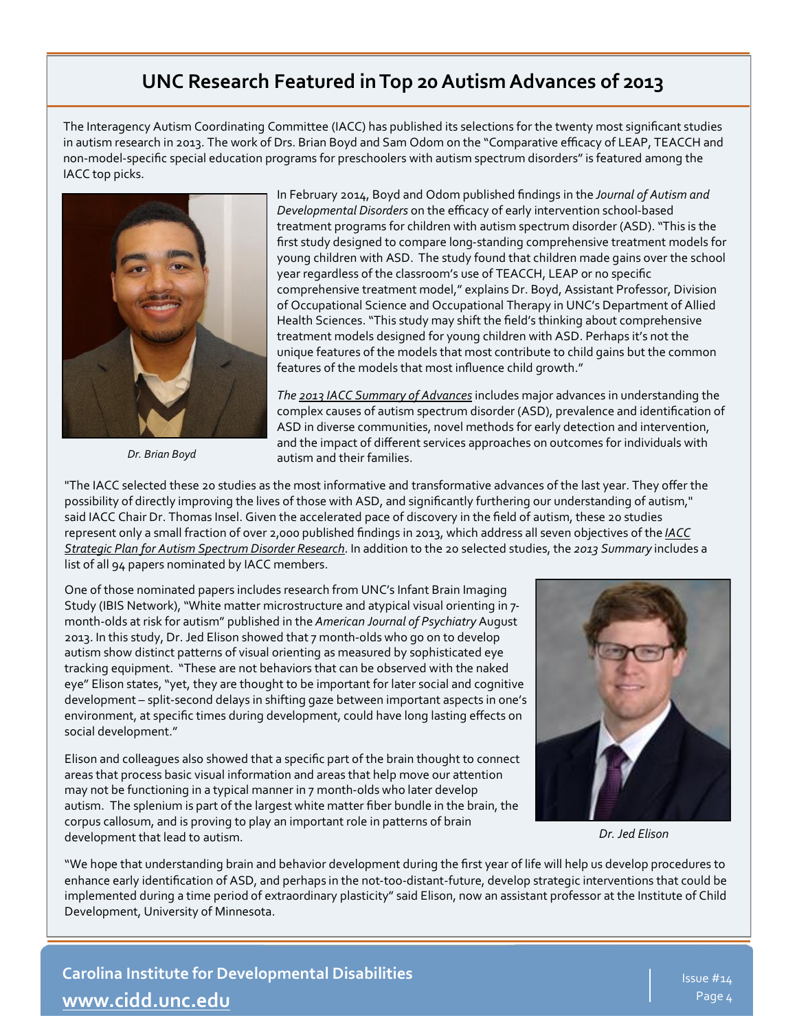## **UNC Research Featured in Top 20 Autism Advances of 2013**

The Interagency Autism Coordinating Committee (IACC) has published its selections for the twenty most significant studies in autism research in 2013. The work of Drs. Brian Boyd and Sam Odom on the "Comparative efficacy of LEAP, TEACCH and non-model-specific special education programs for preschoolers with autism spectrum disorders" is featured among the IACC top picks.



*Dr. Brian Boyd*

In February 2014, Boyd and Odom published findings in the *Journal of Autism and Developmental Disorders* on the efficacy of early intervention school-based treatment programs for children with autism spectrum disorder (ASD). "This is the first study designed to compare long-standing comprehensive treatment models for young children with ASD. The study found that children made gains over the school year regardless of the classroom's use of TEACCH, LEAP or no specific comprehensive treatment model," explains Dr. Boyd, Assistant Professor, Division of Occupational Science and Occupational Therapy in UNC's Department of Allied Health Sciences. "This study may shift the field's thinking about comprehensive treatment models designed for young children with ASD. Perhaps it's not the unique features of the models that most contribute to child gains but the common features of the models that most influence child growth."

*The [2013 IACC Summary of Advances](https://outlook.unc.edu/owa/redir.aspx?C=jZavqZ46-kaXDvkWroWZLOH64BvhPNEI1vVR8HXLkToDrMVQaMNay3ZRZyq62SowGH7eWQBQtAI.&URL=http%3a%2f%2fiacc.hhs.gov%2fsummary-advances%2f2013%2findex.shtml)*includes major advances in understanding the complex causes of autism spectrum disorder (ASD), prevalence and identification of ASD in diverse communities, novel methods for early detection and intervention, and the impact of different services approaches on outcomes for individuals with autism and their families.

"The IACC selected these 20 studies as the most informative and transformative advances of the last year. They offer the possibility of directly improving the lives of those with ASD, and significantly furthering our understanding of autism," said IACC Chair Dr. Thomas Insel. Given the accelerated pace of discovery in the field of autism, these 20 studies represent only a small fraction of over 2,000 published findings in 2013, which address all seven objectives of the *[IACC](https://outlook.unc.edu/owa/redir.aspx?C=jZavqZ46-kaXDvkWroWZLOH64BvhPNEI1vVR8HXLkToDrMVQaMNay3ZRZyq62SowGH7eWQBQtAI.&URL=http%3a%2f%2fiacc.hhs.gov%2fstrategic-plan%2f2013%2findex.shtml)  [Strategic Plan for Autism Spectrum Disorder Research](https://outlook.unc.edu/owa/redir.aspx?C=jZavqZ46-kaXDvkWroWZLOH64BvhPNEI1vVR8HXLkToDrMVQaMNay3ZRZyq62SowGH7eWQBQtAI.&URL=http%3a%2f%2fiacc.hhs.gov%2fstrategic-plan%2f2013%2findex.shtml)*. In addition to the 20 selected studies, the *2013 Summary* includes a list of all 94 papers nominated by IACC members.

One of those nominated papers includes research from UNC's Infant Brain Imaging Study (IBIS Network), "White matter microstructure and atypical visual orienting in 7 month-olds at risk for autism" published in the *American Journal of Psychiatry* August 2013. In this study, Dr. Jed Elison showed that 7 month-olds who go on to develop autism show distinct patterns of visual orienting as measured by sophisticated eye tracking equipment. "These are not behaviors that can be observed with the naked eye" Elison states, "yet, they are thought to be important for later social and cognitive development – split-second delays in shifting gaze between important aspects in one's environment, at specific times during development, could have long lasting effects on social development."

Elison and colleagues also showed that a specific part of the brain thought to connect areas that process basic visual information and areas that help move our attention may not be functioning in a typical manner in 7 month-olds who later develop autism. The splenium is part of the largest white matter fiber bundle in the brain, the corpus callosum, and is proving to play an important role in patterns of brain development that lead to autism.



*Dr. Jed Elison*

"We hope that understanding brain and behavior development during the first year of life will help us develop procedures to enhance early identification of ASD, and perhaps in the not-too-distant-future, develop strategic interventions that could be implemented during a time period of extraordinary plasticity" said Elison, now an assistant professor at the Institute of Child Development, University of Minnesota.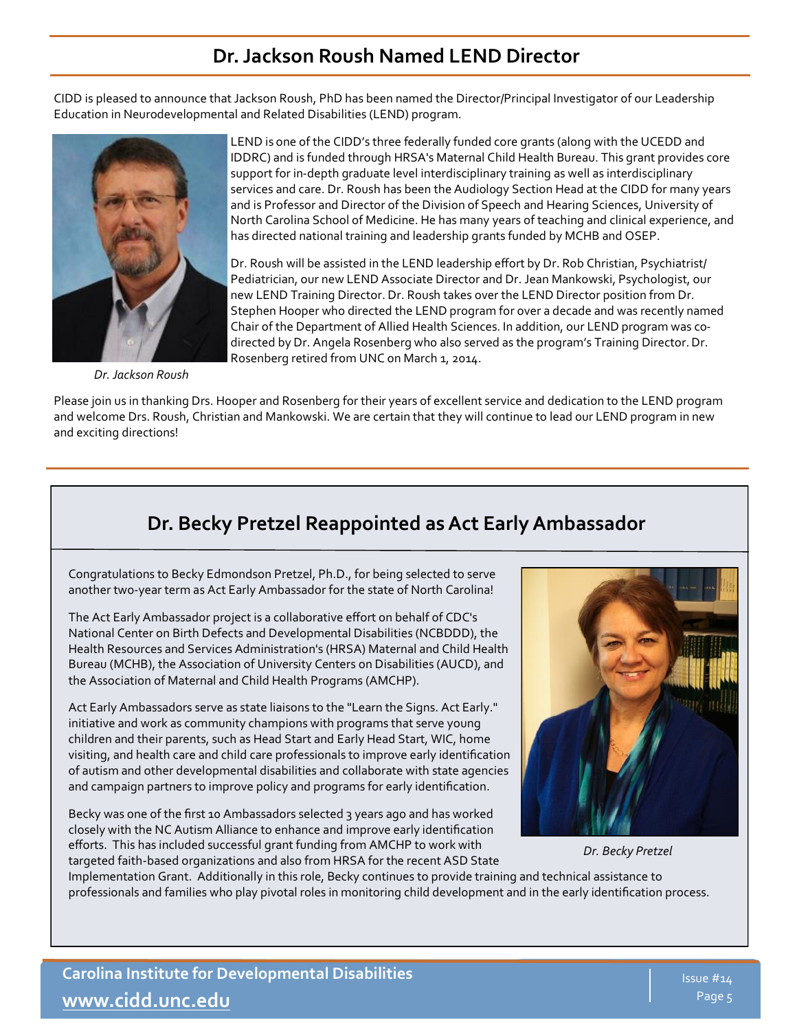## **Dr. Jackson Roush Named LEND Director**

CIDD is pleased to announce that Jackson Roush, PhD has been named the Director/Principal Investigator of our Leadership Education in Neurodevelopmental and Related Disabilities (LEND) program.



*Dr. Jackson Roush* 

LEND is one of the CIDD's three federally funded core grants (along with the UCEDD and IDDRC) and is funded through HRSA's Maternal Child Health Bureau. This grant provides core support for in-depth graduate level interdisciplinary training as well as interdisciplinary services and care. Dr. Roush has been the Audiology Section Head at the CIDD for many years and is Professor and Director of the Division of Speech and Hearing Sciences, University of North Carolina School of Medicine. He has many years of teaching and clinical experience, and has directed national training and leadership grants funded by MCHB and OSEP.

Dr. Roush will be assisted in the LEND leadership effort by Dr. Rob Christian, Psychiatrist/ Pediatrician, our new LEND Associate Director and Dr. Jean Mankowski, Psychologist, our new LEND Training Director. Dr. Roush takes over the LEND Director position from Dr. Stephen Hooper who directed the LEND program for over a decade and was recently named Chair of the Department of Allied Health Sciences. In addition, our LEND program was codirected by Dr. Angela Rosenberg who also served as the program's Training Director.Dr. Rosenberg retired from UNC on March 1, 2014.

Please join us in thanking Drs. Hooper and Rosenberg for their years of excellent service and dedication to the LEND program and welcome Drs. Roush, Christian and Mankowski. We are certain that they will continue to lead our LEND program in new and exciting directions!

# **Dr. Becky Pretzel Reappointed as Act Early Ambassador**

Congratulations to Becky Edmondson Pretzel, Ph.D., for being selected to serve another two-year term as Act Early Ambassador for the state of North Carolina!

The Act Early Ambassador project is a collaborative effort on behalf of CDC's National Center on Birth Defects and Developmental Disabilities (NCBDDD), the Health Resources and Services Administration's (HRSA) Maternal and Child Health Bureau (MCHB), the Association of University Centers on Disabilities (AUCD), and the Association of Maternal and Child Health Programs (AMCHP).

Act Early Ambassadors serve as state liaisons to the "Learn the Signs. Act Early." initiative and work as community champions with programs that serve young children and their parents, such as Head Start and Early Head Start, WIC, home visiting, and health care and child care professionals to improve early identification of autism and other developmental disabilities and collaborate with state agencies and campaign partners to improve policy and programs for early identification.

Becky was one of the first 10 Ambassadors selected 3 years ago and has worked closely with the NC Autism Alliance to enhance and improve early identification efforts. This has included successful grant funding from AMCHP to work with targeted faith-based organizations and also from HRSA for the recent ASD State



*Dr. Becky Pretzel*

Implementation Grant. Additionally in this role, Becky continues to provide training and technical assistance to professionals and families who play pivotal roles in monitoring child development and in the early identification process.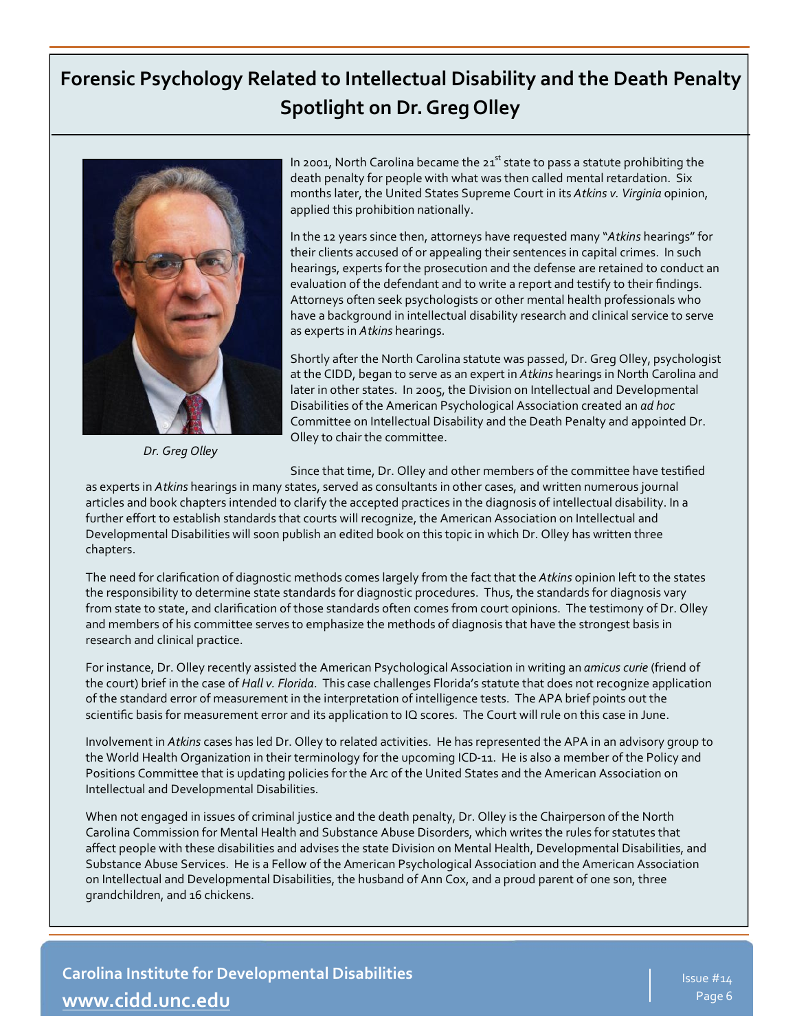# **Forensic Psychology Related to Intellectual Disability and the Death Penalty Spotlight on Dr. Greg Olley**



*Dr. Greg Olley*

In 2001, North Carolina became the  $21<sup>st</sup>$  state to pass a statute prohibiting the death penalty for people with what was then called mental retardation. Six months later, the United States Supreme Court in its *Atkins v. Virginia* opinion, applied this prohibition nationally.

In the 12 years since then, attorneys have requested many "*Atkins* hearings" for their clients accused of or appealing their sentences in capital crimes. In such hearings, experts for the prosecution and the defense are retained to conduct an evaluation of the defendant and to write a report and testify to their findings. Attorneys often seek psychologists or other mental health professionals who have a background in intellectual disability research and clinical service to serve as experts in *Atkins* hearings.

Shortly after the North Carolina statute was passed, Dr. Greg Olley, psychologist at the CIDD, began to serve as an expert in *Atkins* hearings in North Carolina and later in other states. In 2005, the Division on Intellectual and Developmental Disabilities of the American Psychological Association created an *ad hoc*  Committee on Intellectual Disability and the Death Penalty and appointed Dr. Olley to chair the committee.

Since that time, Dr. Olley and other members of the committee have testified

as experts in *Atkins* hearings in many states, served as consultants in other cases, and written numerous journal articles and book chapters intended to clarify the accepted practices in the diagnosis of intellectual disability. In a further effort to establish standards that courts will recognize, the American Association on Intellectual and Developmental Disabilities will soon publish an edited book on this topic in which Dr. Olley has written three chapters.

The need for clarification of diagnostic methods comes largely from the fact that the *Atkins* opinion left to the states the responsibility to determine state standards for diagnostic procedures. Thus, the standards for diagnosis vary from state to state, and clarification of those standards often comes from court opinions. The testimony of Dr. Olley and members of his committee serves to emphasize the methods of diagnosis that have the strongest basis in research and clinical practice.

For instance, Dr. Olley recently assisted the American Psychological Association in writing an *amicus curie* (friend of the court) brief in the case of *Hall v. Florida*. This case challenges Florida's statute that does not recognize application of the standard error of measurement in the interpretation of intelligence tests. The APA brief points out the scientific basis for measurement error and its application to IQ scores. The Court will rule on this case in June.

Involvement in *Atkins* cases has led Dr. Olley to related activities. He has represented the APA in an advisory group to the World Health Organization in their terminology for the upcoming ICD-11. He is also a member of the Policy and Positions Committee that is updating policies for the Arc of the United States and the American Association on Intellectual and Developmental Disabilities.

When not engaged in issues of criminal justice and the death penalty, Dr. Olley is the Chairperson of the North Carolina Commission for Mental Health and Substance Abuse Disorders, which writes the rules for statutes that affect people with these disabilities and advises the state Division on Mental Health, Developmental Disabilities, and Substance Abuse Services. He is a Fellow of the American Psychological Association and the American Association on Intellectual and Developmental Disabilities, the husband of Ann Cox, and a proud parent of one son, three grandchildren, and 16 chickens.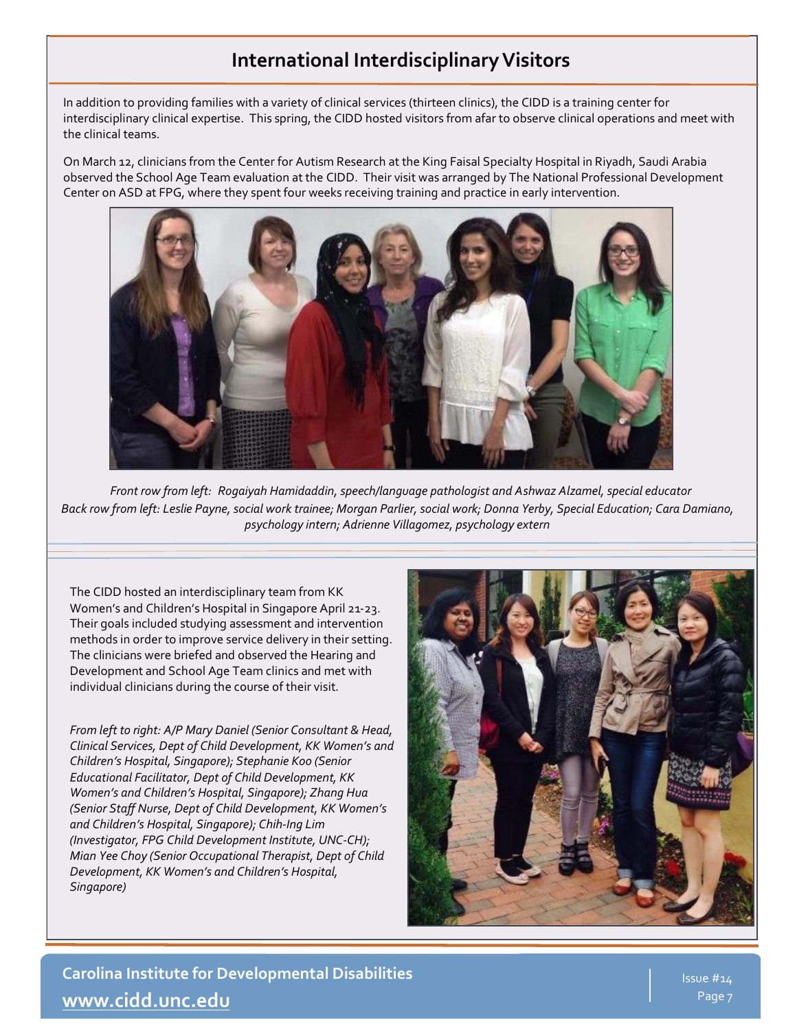## **International Interdisciplinary Visitors**

In addition to providing families with a variety of clinical services (thirteen clinics), the CIDD is a training center for interdisciplinary clinical expertise. This spring, the CIDD hosted visitors from afar to observe clinical operations and meet with the clinical teams.

On March 12, clinicians from the Center for Autism Research at the King Faisal Specialty Hospital in Riyadh, Saudi Arabia observed the School Age Team evaluation at the CIDD. Their visit was arranged by The National Professional Development Center on ASD at FPG, where they spent four weeks receiving training and practice in early intervention.



*Front row from left: Rogaiyah Hamidaddin, speech/language pathologist and Ashwaz Alzamel, special educator Back row from left: Leslie Payne, social work trainee; Morgan Parlier, social work; Donna Yerby, Special Education; Cara Damiano, psychology intern; Adrienne Villagomez, psychology extern*

The CIDD hosted an interdisciplinary team from KK Women's and Children's Hospital in Singapore April 21-23. Their goals included studying assessment and intervention methods in order to improve service delivery in their setting. The clinicians were briefed and observed the Hearing and Development and School Age Team clinics and met with individual clinicians during the course of their visit.

*From left to right: A/P Mary Daniel (Senior Consultant & Head, Clinical Services, Dept of Child Development, KK Women's and Children's Hospital, Singapore); Stephanie Koo (Senior Educational Facilitator, Dept of Child Development, KK Women's and Children's Hospital, Singapore); Zhang Hua (Senior Staff Nurse, Dept of Child Development, KK Women's and Children's Hospital, Singapore); Chih-Ing Lim (Investigator, FPG Child Development Institute, UNC-CH); Mian Yee Choy (Senior Occupational Therapist, Dept of Child Development, KK Women's and Children's Hospital, Singapore)*

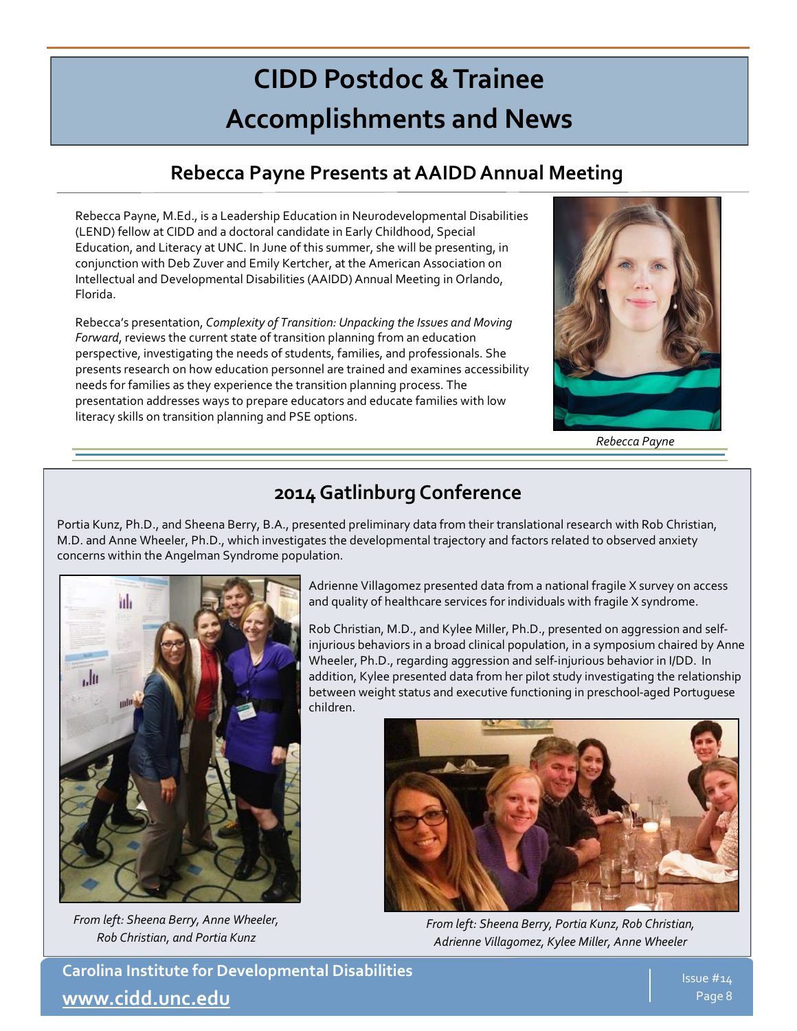# **CIDD Postdoc & Trainee Accomplishments and News**

# **Rebecca Payne Presents at AAIDD Annual Meeting**

Rebecca Payne, M.Ed., is a Leadership Education in Neurodevelopmental Disabilities (LEND) fellow at CIDD and a doctoral candidate in Early Childhood, Special Education, and Literacy at UNC. In June of this summer, she will be presenting, in conjunction with Deb Zuver and Emily Kertcher, at the American Association on Intellectual and Developmental Disabilities (AAIDD) Annual Meeting in Orlando, Florida.

Rebecca's presentation, *Complexity of Transition: Unpacking the Issues and Moving Forward*, reviews the current state of transition planning from an education perspective, investigating the needs of students, families, and professionals. She presents research on how education personnel are trained and examines accessibility needs for families as they experience the transition planning process. The presentation addresses ways to prepare educators and educate families with low literacy skills on transition planning and PSE options.



*Rebecca Payne*

# **2014 Gatlinburg Conference**

Portia Kunz, Ph.D., and Sheena Berry, B.A., presented preliminary data from their translational research with Rob Christian, M.D. and Anne Wheeler, Ph.D., which investigates the developmental trajectory and factors related to observed anxiety concerns within the Angelman Syndrome population.



*From left: Sheena Berry, Anne Wheeler, Rob Christian, and Portia Kunz*

Adrienne Villagomez presented data from a national fragile X survey on access and quality of healthcare services for individuals with fragile X syndrome.

Rob Christian, M.D., and Kylee Miller, Ph.D., presented on aggression and selfinjurious behaviors in a broad clinical population, in a symposium chaired by Anne Wheeler, Ph.D., regarding aggression and self-injurious behavior in I/DD. In addition, Kylee presented data from her pilot study investigating the relationship between weight status and executive functioning in preschool-aged Portuguese children.



*From left: Sheena Berry, Portia Kunz, Rob Christian, Adrienne Villagomez, Kylee Miller, Anne Wheeler*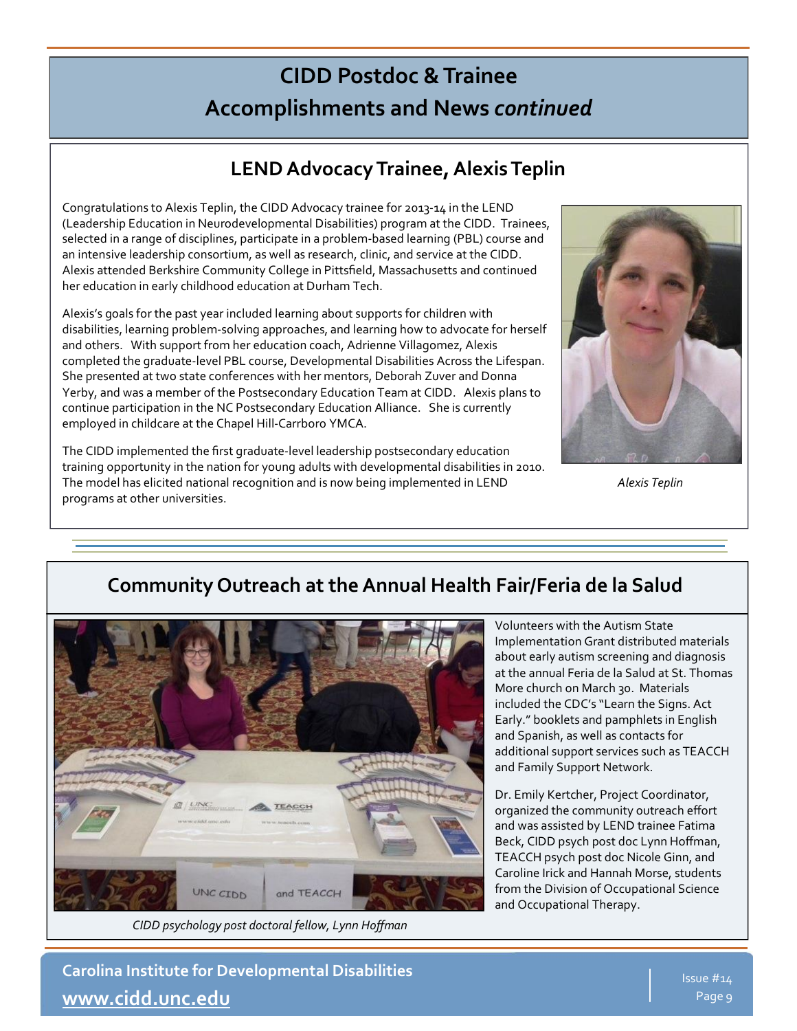# **CIDD Postdoc & Trainee Accomplishments and News** *continued*

# **LEND Advocacy Trainee, Alexis Teplin**

Congratulations to Alexis Teplin, the CIDD Advocacy trainee for 2013-14 in the LEND (Leadership Education in Neurodevelopmental Disabilities) program at the CIDD. Trainees, selected in a range of disciplines, participate in a problem-based learning (PBL) course and an intensive leadership consortium, as well as research, clinic, and service at the CIDD. Alexis attended Berkshire Community College in Pittsfield, Massachusetts and continued her education in early childhood education at Durham Tech.

Alexis's goals for the past year included learning about supports for children with disabilities, learning problem-solving approaches, and learning how to advocate for herself and others. With support from her education coach, Adrienne Villagomez, Alexis completed the graduate-level PBL course, Developmental Disabilities Across the Lifespan. She presented at two state conferences with her mentors, Deborah Zuver and Donna Yerby, and was a member of the Postsecondary Education Team at CIDD. Alexis plans to continue participation in the NC Postsecondary Education Alliance. She is currently employed in childcare at the Chapel Hill-Carrboro YMCA.

The CIDD implemented the first graduate-level leadership postsecondary education training opportunity in the nation for young adults with developmental disabilities in 2010. The model has elicited national recognition and is now being implemented in LEND programs at other universities.



*Alexis Teplin*

# **Community Outreach at the Annual Health Fair/Feria de la Salud**



*CIDD psychology post doctoral fellow, Lynn Hoffman*

Volunteers with the Autism State Implementation Grant distributed materials about early autism screening and diagnosis at the annual Feria de la Salud at St. Thomas More church on March 30. Materials included the CDC's "Learn the Signs. Act Early." booklets and pamphlets in English and Spanish, as well as contacts for additional support services such as TEACCH and Family Support Network.

Dr. Emily Kertcher, Project Coordinator, organized the community outreach effort and was assisted by LEND trainee Fatima Beck, CIDD psych post doc Lynn Hoffman, TEACCH psych post doc Nicole Ginn, and Caroline Irick and Hannah Morse, students from the Division of Occupational Science and Occupational Therapy.